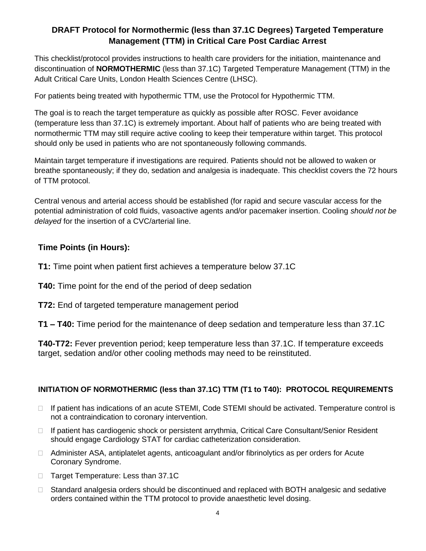# **DRAFT Protocol for Normothermic (less than 37.1C Degrees) Targeted Temperature Management (TTM) in Critical Care Post Cardiac Arrest**

This checklist/protocol provides instructions to health care providers for the initiation, maintenance and discontinuation of **NORMOTHERMIC** (less than 37.1C) Targeted Temperature Management (TTM) in the Adult Critical Care Units, London Health Sciences Centre (LHSC).

For patients being treated with hypothermic TTM, use the Protocol for Hypothermic TTM.

The goal is to reach the target temperature as quickly as possible after ROSC. Fever avoidance (temperature less than 37.1C) is extremely important. About half of patients who are being treated with normothermic TTM may still require active cooling to keep their temperature within target. This protocol should only be used in patients who are not spontaneously following commands.

Maintain target temperature if investigations are required. Patients should not be allowed to waken or breathe spontaneously; if they do, sedation and analgesia is inadequate. This checklist covers the 72 hours of TTM protocol.

Central venous and arterial access should be established (for rapid and secure vascular access for the potential administration of cold fluids, vasoactive agents and/or pacemaker insertion. Cooling *should not be delayed* for the insertion of a CVC/arterial line.

# **Time Points (in Hours):**

**T1:** Time point when patient first achieves a temperature below 37.1C

**T40:** Time point for the end of the period of deep sedation

**T72:** End of targeted temperature management period

**T1 – T40:** Time period for the maintenance of deep sedation and temperature less than 37.1C

**T40-T72:** Fever prevention period; keep temperature less than 37.1C. If temperature exceeds target, sedation and/or other cooling methods may need to be reinstituted.

# **INITIATION OF NORMOTHERMIC (less than 37.1C) TTM (T1 to T40): PROTOCOL REQUIREMENTS**

- $\Box$  If patient has indications of an acute STEMI, Code STEMI should be activated. Temperature control is not a contraindication to coronary intervention.
- $\Box$  If patient has cardiogenic shock or persistent arrythmia, Critical Care Consultant/Senior Resident should engage Cardiology STAT for cardiac catheterization consideration.
- Administer ASA, antiplatelet agents, anticoagulant and/or fibrinolytics as per orders for Acute Coronary Syndrome.
- □ Target Temperature: Less than 37.1C
- □ Standard analgesia orders should be discontinued and replaced with BOTH analgesic and sedative orders contained within the TTM protocol to provide anaesthetic level dosing.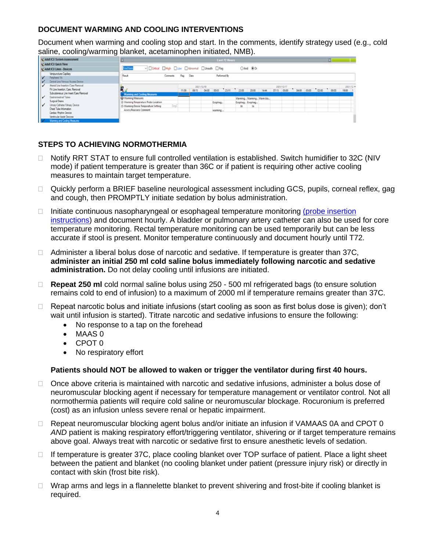## **DOCUMENT WARMING AND COOLING INTERVENTIONS**

Document when warming and cooling stop and start. In the comments, identify strategy used (e.g., cold saline, cooling/warming blanket, acetaminophen initiated, NMB).

| Adult ICU System Assessment                                                                                                                                                                                                                                 | <b>Last 72 Hours</b>                                                                                                                |          |  |                                 |              |  |                                     |                          |                          |  |            |  |  |                         |                    |  |
|-------------------------------------------------------------------------------------------------------------------------------------------------------------------------------------------------------------------------------------------------------------|-------------------------------------------------------------------------------------------------------------------------------------|----------|--|---------------------------------|--------------|--|-------------------------------------|--------------------------|--------------------------|--|------------|--|--|-------------------------|--------------------|--|
| Adult ICU Quick View<br>Adult ICU Lines - Devices                                                                                                                                                                                                           | v Critical High Low Abnormal DUnauth DRag<br>Find Item                                                                              |          |  |                                 |              |  |                                     | ○And ● Or                |                          |  |            |  |  |                         |                    |  |
| Venipuncture/Capillary<br>Ľ<br>Percheral Ns<br>Central Line/Venous Access Device                                                                                                                                                                            | Result<br>Comments                                                                                                                  | Rag Date |  |                                 | Performed By |  |                                     |                          |                          |  |            |  |  |                         |                    |  |
| Aterial Line Insertion/Care/Removal<br>PA Line Insertion, Care, Removal<br>Subcutaneous Line Inset/Care/Removal<br>Gastrointestinal Tubes<br>∕ا،<br>Surgical Drains<br>$\overline{\phantom{a}}$<br>Uinary Catheler/Urinary Device<br>Overt Tube Information | <b>Warming and Cooling Measures</b>                                                                                                 | 11:39    |  | 2021/12/18<br>08:15 04:00 00:03 |              |  | 23:11 22:00 20:00 14:44 07:15 05:00 |                          |                          |  | 2021/12/17 |  |  | 04:00 03:00 02:00 00:00 | 2021/12 A<br>19:00 |  |
|                                                                                                                                                                                                                                                             | Warming Measures<br>O Warming Temperature Probe Location<br>DegC<br>O Warming Device Temperature Setting<br>Assess/Reassess Comment |          |  |                                 | Esophag      |  | $36 -$                              | Esophag Esophag<br>$-36$ | Warming Warming Warm bla |  |            |  |  |                         |                    |  |
| Cardac Rhyfn Device<br>Vertricular Assist Devices<br>V<br>Warning and Cooking Measures                                                                                                                                                                      |                                                                                                                                     |          |  |                                 | warming.     |  |                                     |                          |                          |  |            |  |  |                         |                    |  |

## **STEPS TO ACHIEVING NORMOTHERMIA**

- □ Notify RRT STAT to ensure full controlled ventilation is established. Switch humidifier to 32C (NIV mode) if patient temperature is greater than 36C or if patient is requiring other active cooling measures to maintain target temperature.
- □ Quickly perform a BRIEF baseline neurological assessment including GCS, pupils, corneal reflex, gag and cough, then PROMPTLY initiate sedation by bolus administration.
- $\Box$  Initiate continuous nasopharyngeal or esophageal temperature monitoring (probe insertion [instructions\)](about:blank) and document hourly. A bladder or pulmonary artery catheter can also be used for core temperature monitoring. Rectal temperature monitoring can be used temporarily but can be less accurate if stool is present. Monitor temperature continuously and document hourly until T72.
- $\Box$  Administer a liberal bolus dose of narcotic and sedative. If temperature is greater than 37C, **administer an initial 250 ml cold saline bolus immediately following narcotic and sedative administration.** Do not delay cooling until infusions are initiated.
- □ **Repeat 250 ml** cold normal saline bolus using 250 500 ml refrigerated bags (to ensure solution remains cold to end of infusion) to a maximum of 2000 ml if temperature remains greater than 37C.
- $\Box$  Repeat narcotic bolus and initiate infusions (start cooling as soon as first bolus dose is given); don't wait until infusion is started). Titrate narcotic and sedative infusions to ensure the following:
	- No response to a tap on the forehead
	- MAAS 0
	- CPOT 0
	- No respiratory effort

## **Patients should NOT be allowed to waken or trigger the ventilator during first 40 hours.**

- $\Box$  Once above criteria is maintained with narcotic and sedative infusions, administer a bolus dose of neuromuscular blocking agent if necessary for temperature management or ventilator control. Not all normothermia patients will require cold saline or neuromuscular blockage. Rocuronium is preferred (cost) as an infusion unless severe renal or hepatic impairment.
- $\Box$  Repeat neuromuscular blocking agent bolus and/or initiate an infusion if VAMAAS 0A and CPOT 0 *AND* patient is making respiratory effort/triggering ventilator, shivering or if target temperature remains above goal. Always treat with narcotic or sedative first to ensure anesthetic levels of sedation.
- $\Box$  If temperature is greater 37C, place cooling blanket over TOP surface of patient. Place a light sheet between the patient and blanket (no cooling blanket under patient (pressure injury risk) or directly in contact with skin (frost bite risk).
- □ Wrap arms and legs in a flannelette blanket to prevent shivering and frost-bite if cooling blanket is required.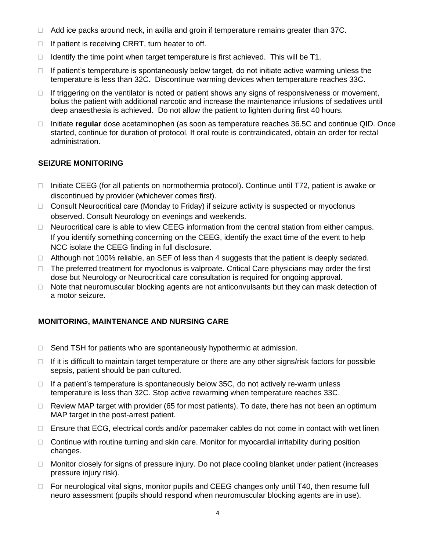- $\Box$  Add ice packs around neck, in axilla and groin if temperature remains greater than 37C.
- $\Box$  If patient is receiving CRRT, turn heater to off.
- $\Box$  Identify the time point when target temperature is first achieved. This will be T1.
- $\Box$  If patient's temperature is spontaneously below target, do not initiate active warming unless the temperature is less than 32C. Discontinue warming devices when temperature reaches 33C.
- $\Box$  If triggering on the ventilator is noted or patient shows any signs of responsiveness or movement, bolus the patient with additional narcotic and increase the maintenance infusions of sedatives until deep anaesthesia is achieved. Do not allow the patient to lighten during first 40 hours.
- □ Initiate **regular** dose acetaminophen (as soon as temperature reaches 36.5C and continue QID. Once started, continue for duration of protocol. If oral route is contraindicated, obtain an order for rectal administration.

### **SEIZURE MONITORING**

- $\Box$  Initiate CEEG (for all patients on normothermia protocol). Continue until T72, patient is awake or discontinued by provider (whichever comes first).
- □ Consult Neurocritical care (Monday to Friday) if seizure activity is suspected or myoclonus observed. Consult Neurology on evenings and weekends.
- $\Box$  Neurocritical care is able to view CEEG information from the central station from either campus. If you identify something concerning on the CEEG, identify the exact time of the event to help NCC isolate the CEEG finding in full disclosure.
- $\Box$  Although not 100% reliable, an SEF of less than 4 suggests that the patient is deeply sedated.
- $\Box$  The preferred treatment for myoclonus is valproate. Critical Care physicians may order the first dose but Neurology or Neurocritical care consultation is required for ongoing approval.
- $\Box$  Note that neuromuscular blocking agents are not anticonvulsants but they can mask detection of a motor seizure.

## **MONITORING, MAINTENANCE AND NURSING CARE**

- □ Send TSH for patients who are spontaneously hypothermic at admission.
- $\Box$  If it is difficult to maintain target temperature or there are any other signs/risk factors for possible sepsis, patient should be pan cultured.
- $\Box$  If a patient's temperature is spontaneously below 35C, do not actively re-warm unless temperature is less than 32C. Stop active rewarming when temperature reaches 33C.
- $\Box$  Review MAP target with provider (65 for most patients). To date, there has not been an optimum MAP target in the post-arrest patient.
- $\Box$  Ensure that ECG, electrical cords and/or pacemaker cables do not come in contact with wet linen
- $\Box$  Continue with routine turning and skin care. Monitor for myocardial irritability during position changes.
- $\Box$  Monitor closely for signs of pressure injury. Do not place cooling blanket under patient (increases pressure injury risk).
- □ For neurological vital signs, monitor pupils and CEEG changes only until T40, then resume full neuro assessment (pupils should respond when neuromuscular blocking agents are in use).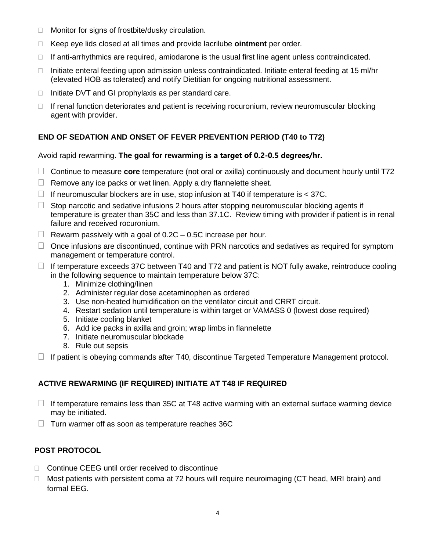- □ Monitor for signs of frostbite/dusky circulation.
- Keep eye lids closed at all times and provide lacrilube **ointment** per order.
- $\Box$  If anti-arrhythmics are required, amiodarone is the usual first line agent unless contraindicated.
- Initiate enteral feeding upon admission unless contraindicated. Initiate enteral feeding at 15 ml/hr (elevated HOB as tolerated) and notify Dietitian for ongoing nutritional assessment.
- $\Box$  Initiate DVT and GI prophylaxis as per standard care.
- $\Box$  If renal function deteriorates and patient is receiving rocuronium, review neuromuscular blocking agent with provider.

## **END OF SEDATION AND ONSET OF FEVER PREVENTION PERIOD (T40 to T72)**

### Avoid rapid rewarming. **The goal for rewarming is a target of 0.2-0.5 degrees/hr.**

- Continue to measure **core** temperature (not oral or axilla) continuously and document hourly until T72
- $\Box$  Remove any ice packs or wet linen. Apply a dry flannelette sheet.
- $\Box$  If neuromuscular blockers are in use, stop infusion at T40 if temperature is  $<$  37C.
- $\Box$  Stop narcotic and sedative infusions 2 hours after stopping neuromuscular blocking agents if temperature is greater than 35C and less than 37.1C. Review timing with provider if patient is in renal failure and received rocuronium.
- $\Box$  Rewarm passively with a goal of 0.2C 0.5C increase per hour.
- $\Box$  Once infusions are discontinued, continue with PRN narcotics and sedatives as required for symptom management or temperature control.
- $\Box$  If temperature exceeds 37C between T40 and T72 and patient is NOT fully awake, reintroduce cooling in the following sequence to maintain temperature below 37C:
	- 1. Minimize clothing/linen
	- 2. Administer regular dose acetaminophen as ordered
	- 3. Use non-heated humidification on the ventilator circuit and CRRT circuit.
	- 4. Restart sedation until temperature is within target or VAMASS 0 (lowest dose required)
	- 5. Initiate cooling blanket
	- 6. Add ice packs in axilla and groin; wrap limbs in flannelette
	- 7. Initiate neuromuscular blockade
	- 8. Rule out sepsis
- $\Box$  If patient is obeying commands after T40, discontinue Targeted Temperature Management protocol.

## **ACTIVE REWARMING (IF REQUIRED) INITIATE AT T48 IF REQUIRED**

- $\Box$  If temperature remains less than 35C at T48 active warming with an external surface warming device may be initiated.
- $\Box$  Turn warmer off as soon as temperature reaches 36C

### **POST PROTOCOL**

- □ Continue CEEG until order received to discontinue
- $\Box$  Most patients with persistent coma at 72 hours will require neuroimaging (CT head, MRI brain) and formal EEG.